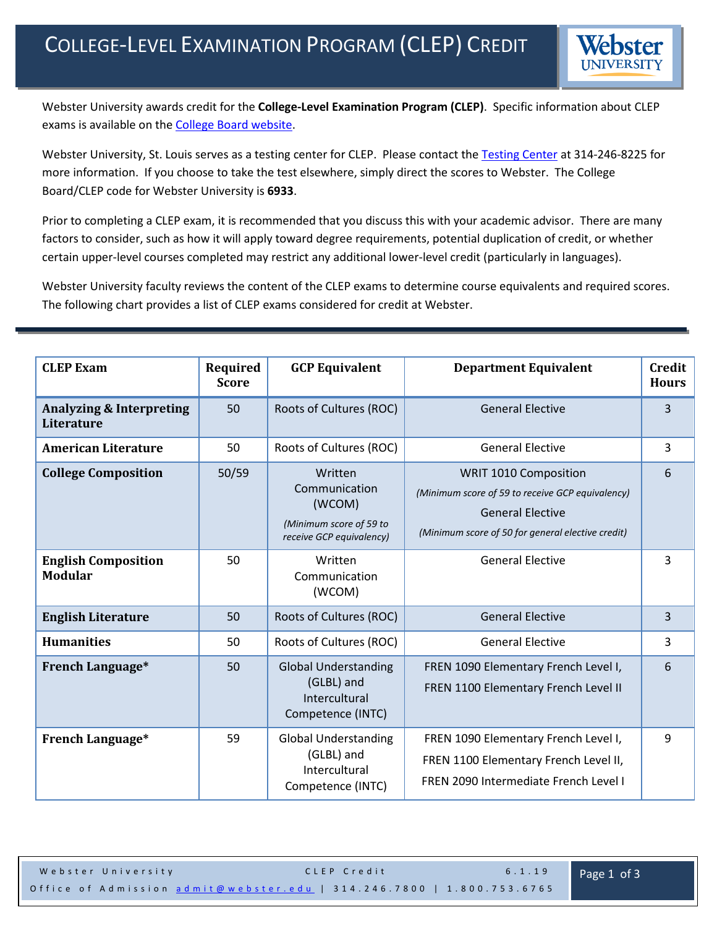

Webster University awards credit for the **College-Level Examination Program (CLEP)**. Specific information about CLEP exams is available on the [College Board website.](http://clep.collegeboard.org/started)

Webster University, St. Louis serves as a testing center for CLEP. Please contact the [Testing Center](http://www.webster.edu/arc/testingcenter/index.shtml) at 314-246-8225 for more information. If you choose to take the test elsewhere, simply direct the scores to Webster. The College Board/CLEP code for Webster University is **6933**.

Prior to completing a CLEP exam, it is recommended that you discuss this with your academic advisor. There are many factors to consider, such as how it will apply toward degree requirements, potential duplication of credit, or whether certain upper-level courses completed may restrict any additional lower-level credit (particularly in languages).

Webster University faculty reviews the content of the CLEP exams to determine course equivalents and required scores. The following chart provides a list of CLEP exams considered for credit at Webster.

| <b>CLEP Exam</b>                                         | Required<br><b>Score</b> | <b>GCP Equivalent</b>                                                                     | <b>Department Equivalent</b>                                                                                                                              | <b>Credit</b><br><b>Hours</b> |
|----------------------------------------------------------|--------------------------|-------------------------------------------------------------------------------------------|-----------------------------------------------------------------------------------------------------------------------------------------------------------|-------------------------------|
| <b>Analyzing &amp; Interpreting</b><br><b>Literature</b> | 50                       | Roots of Cultures (ROC)                                                                   | <b>General Elective</b>                                                                                                                                   | 3                             |
| <b>American Literature</b>                               | 50                       | Roots of Cultures (ROC)                                                                   | <b>General Elective</b>                                                                                                                                   | $\overline{3}$                |
| <b>College Composition</b>                               | 50/59                    | Written<br>Communication<br>(WCOM)<br>(Minimum score of 59 to<br>receive GCP equivalency) | WRIT 1010 Composition<br>(Minimum score of 59 to receive GCP equivalency)<br><b>General Elective</b><br>(Minimum score of 50 for general elective credit) | 6                             |
| <b>English Composition</b><br><b>Modular</b>             | 50                       | Written<br>Communication<br>(WCOM)                                                        | <b>General Elective</b>                                                                                                                                   | 3                             |
| <b>English Literature</b>                                | 50                       | Roots of Cultures (ROC)                                                                   | <b>General Elective</b>                                                                                                                                   | 3                             |
| <b>Humanities</b>                                        | 50                       | Roots of Cultures (ROC)                                                                   | <b>General Elective</b>                                                                                                                                   | $\overline{3}$                |
| <b>French Language*</b>                                  | 50                       | <b>Global Understanding</b><br>(GLBL) and<br>Intercultural<br>Competence (INTC)           | FREN 1090 Elementary French Level I,<br>FREN 1100 Elementary French Level II                                                                              | 6                             |
| French Language*                                         | 59                       | <b>Global Understanding</b><br>(GLBL) and<br>Intercultural<br>Competence (INTC)           | FREN 1090 Elementary French Level I,<br>FREN 1100 Elementary French Level II,<br>FREN 2090 Intermediate French Level I                                    | 9                             |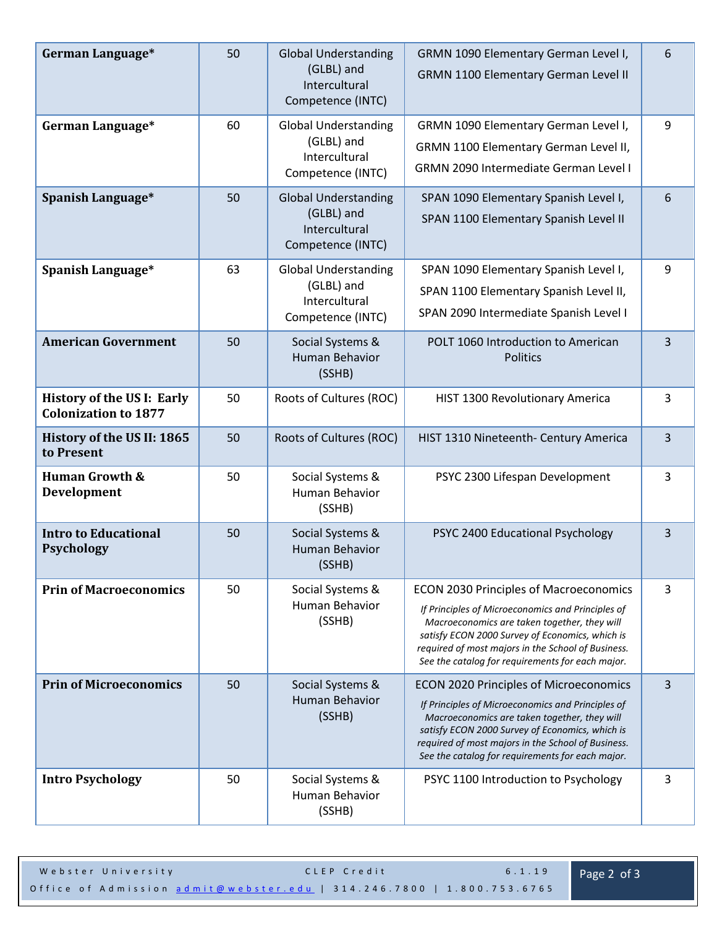| German Language*                                                 | 50 | <b>Global Understanding</b><br>(GLBL) and<br>Intercultural<br>Competence (INTC) | GRMN 1090 Elementary German Level I,<br><b>GRMN 1100 Elementary German Level II</b>                                                                                                                                                                                                                             | 6              |
|------------------------------------------------------------------|----|---------------------------------------------------------------------------------|-----------------------------------------------------------------------------------------------------------------------------------------------------------------------------------------------------------------------------------------------------------------------------------------------------------------|----------------|
| German Language*                                                 | 60 | <b>Global Understanding</b><br>(GLBL) and<br>Intercultural<br>Competence (INTC) | GRMN 1090 Elementary German Level I,<br>GRMN 1100 Elementary German Level II,<br><b>GRMN 2090 Intermediate German Level I</b>                                                                                                                                                                                   | 9              |
| Spanish Language*                                                | 50 | <b>Global Understanding</b><br>(GLBL) and<br>Intercultural<br>Competence (INTC) | SPAN 1090 Elementary Spanish Level I,<br>SPAN 1100 Elementary Spanish Level II                                                                                                                                                                                                                                  | 6              |
| Spanish Language*                                                | 63 | <b>Global Understanding</b><br>(GLBL) and<br>Intercultural<br>Competence (INTC) | SPAN 1090 Elementary Spanish Level I,<br>SPAN 1100 Elementary Spanish Level II,<br>SPAN 2090 Intermediate Spanish Level I                                                                                                                                                                                       | 9              |
| <b>American Government</b>                                       | 50 | Social Systems &<br><b>Human Behavior</b><br>(SSHB)                             | POLT 1060 Introduction to American<br><b>Politics</b>                                                                                                                                                                                                                                                           | $\overline{3}$ |
| <b>History of the US I: Early</b><br><b>Colonization to 1877</b> | 50 | Roots of Cultures (ROC)                                                         | HIST 1300 Revolutionary America                                                                                                                                                                                                                                                                                 | 3              |
| History of the US II: 1865<br>to Present                         | 50 | Roots of Cultures (ROC)                                                         | HIST 1310 Nineteenth- Century America                                                                                                                                                                                                                                                                           | $\overline{3}$ |
| <b>Human Growth &amp;</b><br>Development                         | 50 | Social Systems &<br>Human Behavior<br>(SSHB)                                    | PSYC 2300 Lifespan Development                                                                                                                                                                                                                                                                                  | 3              |
| <b>Intro to Educational</b><br><b>Psychology</b>                 | 50 | Social Systems &<br><b>Human Behavior</b><br>(SSHB)                             | PSYC 2400 Educational Psychology                                                                                                                                                                                                                                                                                | 3              |
| <b>Prin of Macroeconomics</b>                                    | 50 | Social Systems &<br>Human Behavior<br>(SSHB)                                    | <b>ECON 2030 Principles of Macroeconomics</b><br>If Principles of Microeconomics and Principles of<br>Macroeconomics are taken together, they will<br>satisfy ECON 2000 Survey of Economics, which is<br>required of most majors in the School of Business.<br>See the catalog for requirements for each major. |                |
| <b>Prin of Microeconomics</b>                                    | 50 | Social Systems &<br>Human Behavior<br>(SSHB)                                    | <b>ECON 2020 Principles of Microeconomics</b><br>If Principles of Microeconomics and Principles of<br>Macroeconomics are taken together, they will<br>satisfy ECON 2000 Survey of Economics, which is<br>required of most majors in the School of Business.<br>See the catalog for requirements for each major. |                |
| <b>Intro Psychology</b>                                          | 50 | Social Systems &<br>Human Behavior<br>(SSHB)                                    | PSYC 1100 Introduction to Psychology                                                                                                                                                                                                                                                                            | 3              |